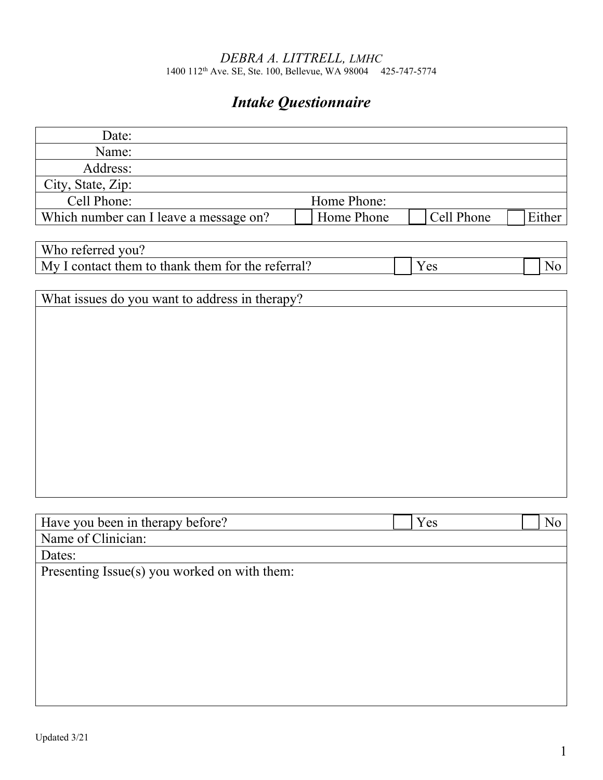#### *DEBRA A. LITTRELL, LMHC* 1400 112th Ave. SE, Ste. 100, Bellevue, WA 98004 425-747-5774

# *Intake Questionnaire*

| Date:                                             |             |            |        |                |
|---------------------------------------------------|-------------|------------|--------|----------------|
| Name:                                             |             |            |        |                |
| Address:                                          |             |            |        |                |
| City, State, Zip:                                 |             |            |        |                |
| Cell Phone:                                       | Home Phone: |            |        |                |
| Which number can I leave a message on?            | Home Phone  | Cell Phone | Either |                |
|                                                   |             |            |        |                |
| Who referred you?                                 |             |            |        |                |
| My I contact them to thank them for the referral? |             | Yes        |        | N <sub>o</sub> |
|                                                   |             |            |        |                |
| What issues do you want to address in therapy?    |             |            |        |                |
|                                                   |             |            |        |                |
|                                                   |             |            |        |                |
|                                                   |             |            |        |                |
|                                                   |             |            |        |                |
|                                                   |             |            |        |                |
|                                                   |             |            |        |                |
|                                                   |             |            |        |                |
|                                                   |             |            |        |                |
|                                                   |             |            |        |                |
|                                                   |             |            |        |                |
|                                                   |             |            |        |                |
|                                                   |             |            |        |                |
| Have you been in therapy before?                  |             | Yes        |        | N <sub>o</sub> |
| Name of Clinician:                                |             |            |        |                |
| Dates:                                            |             |            |        |                |
| Presenting Issue(s) you worked on with them:      |             |            |        |                |
|                                                   |             |            |        |                |
|                                                   |             |            |        |                |
|                                                   |             |            |        |                |
|                                                   |             |            |        |                |
|                                                   |             |            |        |                |
|                                                   |             |            |        |                |
|                                                   |             |            |        |                |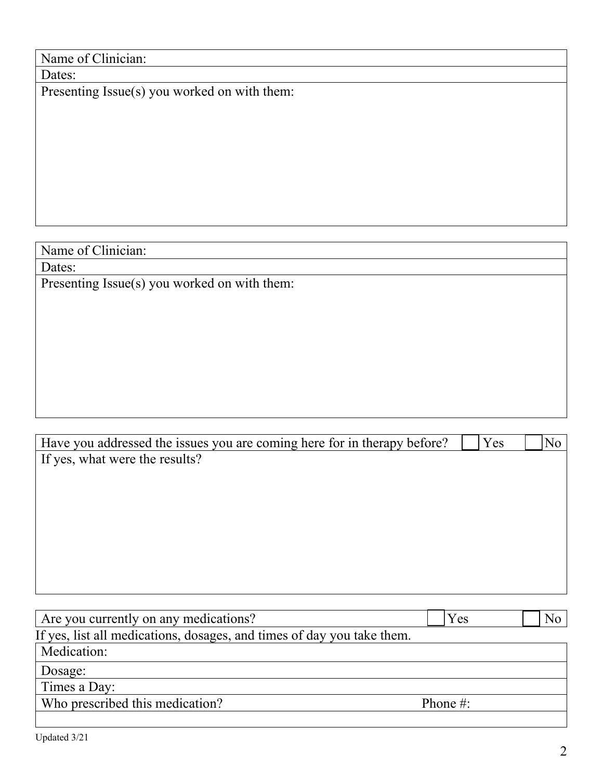## Name of Clinician:

Dates:

Presenting Issue(s) you worked on with them:

## Name of Clinician:

Dates:

Presenting Issue(s) you worked on with them:

| Yes | No |
|-----|----|
|     |    |
|     |    |
|     |    |
|     |    |
|     |    |
|     |    |
|     |    |
|     |    |

| Are you currently on any medications?                                  | Y es         | No |
|------------------------------------------------------------------------|--------------|----|
| If yes, list all medications, dosages, and times of day you take them. |              |    |
| Medication:                                                            |              |    |
| Dosage:                                                                |              |    |
| Times a Day:                                                           |              |    |
| Who prescribed this medication?                                        | Phone $\#$ : |    |
|                                                                        |              |    |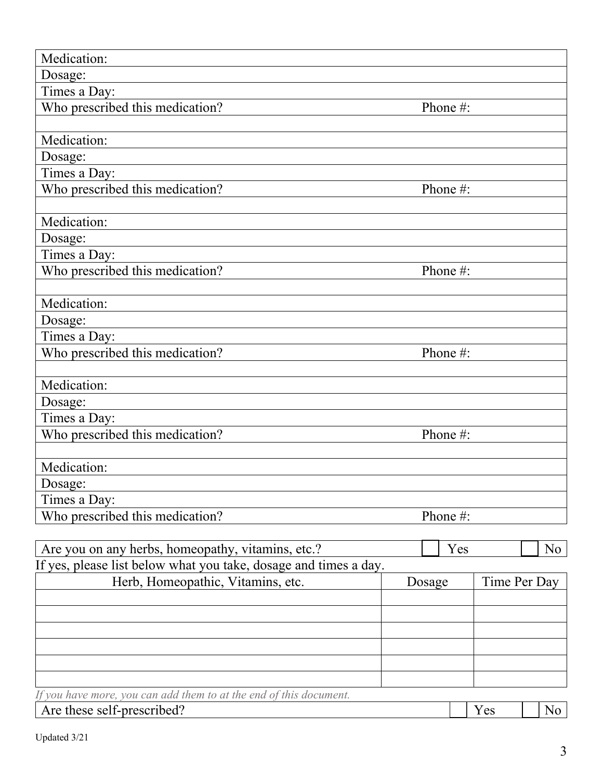| Medication:                                                                                                           |          |     |              |    |
|-----------------------------------------------------------------------------------------------------------------------|----------|-----|--------------|----|
| Dosage:                                                                                                               |          |     |              |    |
| Times a Day:                                                                                                          |          |     |              |    |
| Who prescribed this medication?                                                                                       | Phone #: |     |              |    |
|                                                                                                                       |          |     |              |    |
| Medication:                                                                                                           |          |     |              |    |
| Dosage:                                                                                                               |          |     |              |    |
| Times a Day:                                                                                                          |          |     |              |    |
| Who prescribed this medication?                                                                                       | Phone #: |     |              |    |
|                                                                                                                       |          |     |              |    |
| Medication:                                                                                                           |          |     |              |    |
| Dosage:                                                                                                               |          |     |              |    |
| Times a Day:                                                                                                          |          |     |              |    |
| Who prescribed this medication?                                                                                       | Phone #: |     |              |    |
| Medication:                                                                                                           |          |     |              |    |
| Dosage:                                                                                                               |          |     |              |    |
| Times a Day:                                                                                                          |          |     |              |    |
| Who prescribed this medication?                                                                                       | Phone #: |     |              |    |
|                                                                                                                       |          |     |              |    |
| Medication:                                                                                                           |          |     |              |    |
| Dosage:                                                                                                               |          |     |              |    |
| Times a Day:                                                                                                          |          |     |              |    |
| Who prescribed this medication?                                                                                       | Phone #: |     |              |    |
|                                                                                                                       |          |     |              |    |
| Medication:                                                                                                           |          |     |              |    |
| Dosage:                                                                                                               |          |     |              |    |
| Times a Day:                                                                                                          |          |     |              |    |
| Who prescribed this medication?                                                                                       | Phone #: |     |              |    |
|                                                                                                                       |          | Yes |              | No |
| Are you on any herbs, homeopathy, vitamins, etc.?<br>If yes, please list below what you take, dosage and times a day. |          |     |              |    |
| Herb, Homeopathic, Vitamins, etc.                                                                                     | Dosage   |     | Time Per Day |    |
|                                                                                                                       |          |     |              |    |
|                                                                                                                       |          |     |              |    |
|                                                                                                                       |          |     |              |    |
|                                                                                                                       |          |     |              |    |
|                                                                                                                       |          |     |              |    |
|                                                                                                                       |          |     |              |    |
| If you have more, you can add them to at the end of this document.                                                    |          |     |              |    |
| Are these self-prescribed?                                                                                            |          |     | Yes          | No |

| Updated 3/21 |  |
|--------------|--|
|--------------|--|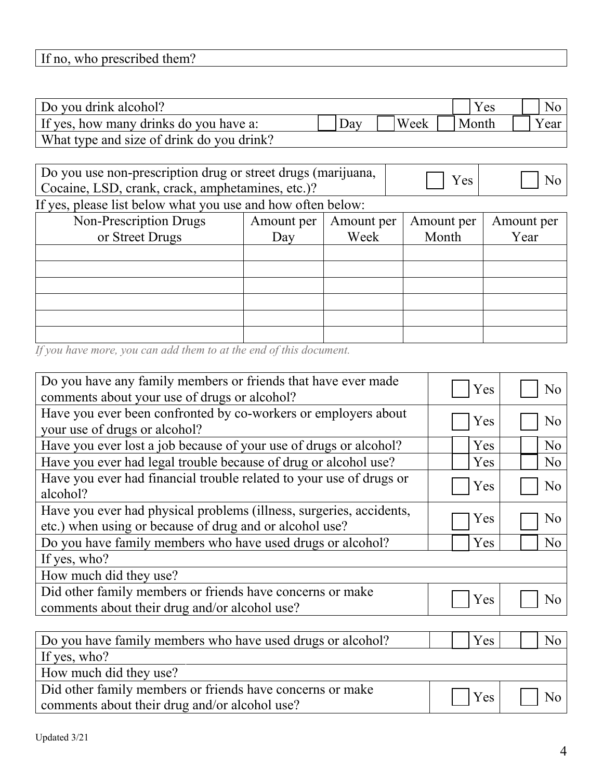|  | If no, who prescribed them? |
|--|-----------------------------|
|--|-----------------------------|

| Do you drink alcohol?                     |                     |      |       |
|-------------------------------------------|---------------------|------|-------|
| If yes, how many drinks do you have a:    | $\Delta$ d $\sigma$ | Week | Y ear |
| What type and size of drink do you drink? |                     |      |       |

| Do you use non-prescription drug or street drugs (marijuana,<br>Cocaine, LSD, crank, crack, amphetamines, etc.)? | Yes | $\overline{\phantom{a}}$ No |
|------------------------------------------------------------------------------------------------------------------|-----|-----------------------------|
|------------------------------------------------------------------------------------------------------------------|-----|-----------------------------|

If yes, please list below what you use and how often below:

| Non-Prescription Drugs<br>or Street Drugs | Amount per<br>Day | Amount per<br>Week | Amount per<br>Month | Amount per<br>Year |
|-------------------------------------------|-------------------|--------------------|---------------------|--------------------|
|                                           |                   |                    |                     |                    |
|                                           |                   |                    |                     |                    |
|                                           |                   |                    |                     |                    |
|                                           |                   |                    |                     |                    |
|                                           |                   |                    |                     |                    |
|                                           |                   |                    |                     |                    |

*If you have more, you can add them to at the end of this document.*

| Do you have any family members or friends that have ever made       | Yes | N <sub>o</sub> |
|---------------------------------------------------------------------|-----|----------------|
| comments about your use of drugs or alcohol?                        |     |                |
| Have you ever been confronted by co-workers or employers about      |     |                |
| your use of drugs or alcohol?                                       | Yes | No             |
|                                                                     |     |                |
| Have you ever lost a job because of your use of drugs or alcohol?   | Yes | N <sub>o</sub> |
| Have you ever had legal trouble because of drug or alcohol use?     | Yes | N <sub>o</sub> |
| Have you ever had financial trouble related to your use of drugs or |     |                |
| alcohol?                                                            | Yes | N <sub>o</sub> |
| Have you ever had physical problems (illness, surgeries, accidents, |     |                |
| etc.) when using or because of drug and or alcohol use?             | Yes | N <sub>o</sub> |
| Do you have family members who have used drugs or alcohol?          | Yes | N <sub>o</sub> |
| If yes, who?                                                        |     |                |
| How much did they use?                                              |     |                |
| Did other family members or friends have concerns or make           |     |                |
| comments about their drug and/or alcohol use?                       | Yes | No             |
|                                                                     |     |                |
| Do you have family members who have used drugs or alcohol?          | Yes | N <sub>o</sub> |
| If yes, who?                                                        |     |                |

How much did they use?

| <b>TIOW INGON GRUPS</b> as <b>c</b>                       |                      |
|-----------------------------------------------------------|----------------------|
| Did other family members or friends have concerns or make | $\Box$ Yes $\Box$ No |
| comments about their drug and/or alcohol use?             |                      |
|                                                           |                      |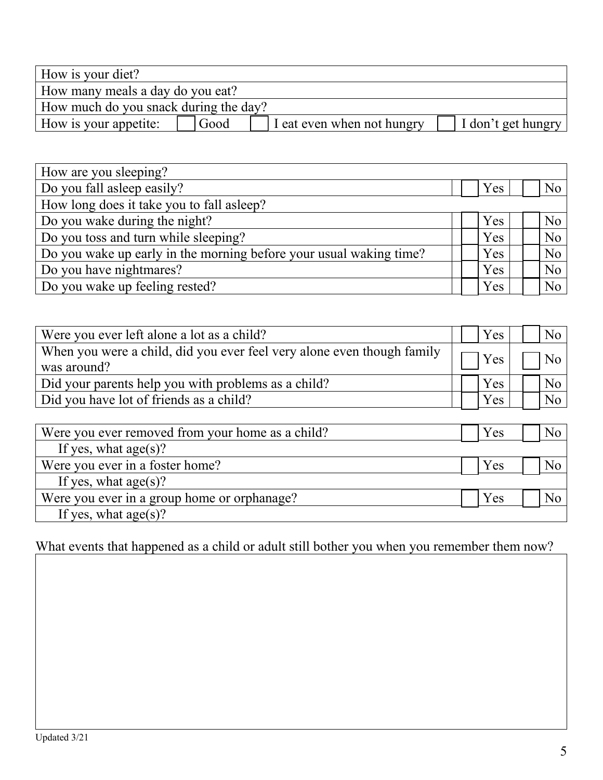| How is your diet?                     |      |                            |                    |
|---------------------------------------|------|----------------------------|--------------------|
| How many meals a day do you eat?      |      |                            |                    |
| How much do you snack during the day? |      |                            |                    |
| How is your appetite:                 | Good | I eat even when not hungry | I don't get hungry |

| How are you sleeping?                                              |  |            |  |                  |  |  |
|--------------------------------------------------------------------|--|------------|--|------------------|--|--|
| Do you fall as leep easily?                                        |  | <b>Yes</b> |  | No               |  |  |
| How long does it take you to fall as leep?                         |  |            |  |                  |  |  |
| Do you wake during the night?                                      |  | Yes        |  | No <sub>1</sub>  |  |  |
| Do you toss and turn while sleeping?                               |  | Yes        |  | N <sub>o</sub>   |  |  |
| Do you wake up early in the morning before your usual waking time? |  | <b>Yes</b> |  | $\overline{N_0}$ |  |  |
| Do you have nightmares?                                            |  | Yes        |  | No               |  |  |
| Do you wake up feeling rested?                                     |  | Yes        |  | No <sub>1</sub>  |  |  |

| Were you ever left alone a lot as a child?                                            |  | <b>Yes</b> | No <sub>1</sub>    |
|---------------------------------------------------------------------------------------|--|------------|--------------------|
| When you were a child, did you ever feel very alone even though family<br>was around? |  | Yes        | $\overline{N_{0}}$ |
| Did your parents help you with problems as a child?                                   |  | Yes        | No <sub>1</sub>    |
| Did you have lot of friends as a child?                                               |  | Yes        | No <sub>1</sub>    |

| Were you ever removed from your home as a child? | Yes | No |
|--------------------------------------------------|-----|----|
| If yes, what $age(s)?$                           |     |    |
| Were you ever in a foster home?                  | Yes | No |
| If yes, what $age(s)?$                           |     |    |
| Were you ever in a group home or orphanage?      | Yes | No |
| If yes, what $age(s)?$                           |     |    |

What events that happened as a child or adult still bother you when you remember them now?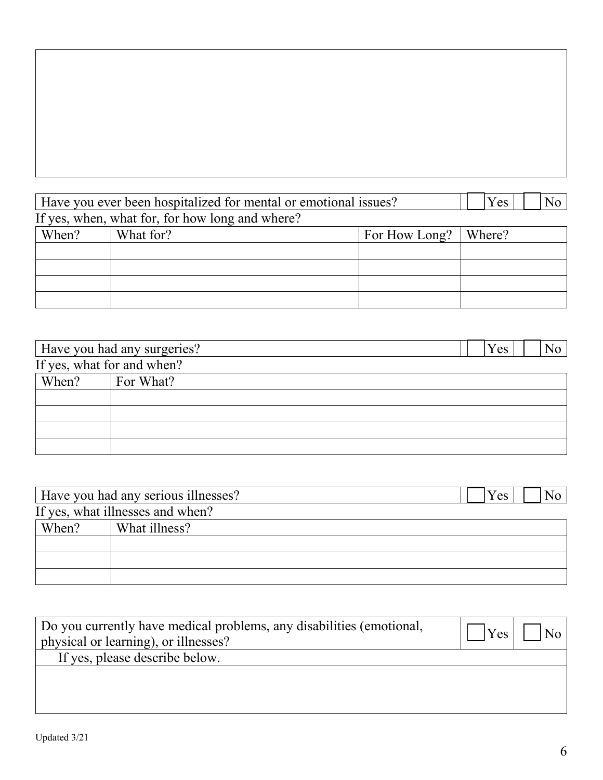| Have vou ever been hospitalized for mental or emotional issues? | Y es |  |
|-----------------------------------------------------------------|------|--|

|                                                 | - - -     | $\sim$ $\sim$ $\sim$   |  |  |
|-------------------------------------------------|-----------|------------------------|--|--|
| If yes, when, what for, for how long and where? |           |                        |  |  |
| When?                                           | What for? | For How Long?   Where? |  |  |
|                                                 |           |                        |  |  |
|                                                 |           |                        |  |  |
|                                                 |           |                        |  |  |
|                                                 |           |                        |  |  |

|       | Have you had any surgeries? | Y es |  |
|-------|-----------------------------|------|--|
|       | If yes, what for and when?  |      |  |
| When? | For What?                   |      |  |
|       |                             |      |  |
|       |                             |      |  |
|       |                             |      |  |
|       |                             |      |  |

|       | Have you had any serious illnesses? | Y es |  |
|-------|-------------------------------------|------|--|
|       | If yes, what illnesses and when?    |      |  |
| When? | What illness?                       |      |  |
|       |                                     |      |  |
|       |                                     |      |  |
|       |                                     |      |  |

| Do you currently have medical problems, any disabilities (emotional,<br>physical or learning), or illnesses? | Yes | l No- |
|--------------------------------------------------------------------------------------------------------------|-----|-------|
| If yes, please describe below.                                                                               |     |       |
|                                                                                                              |     |       |
|                                                                                                              |     |       |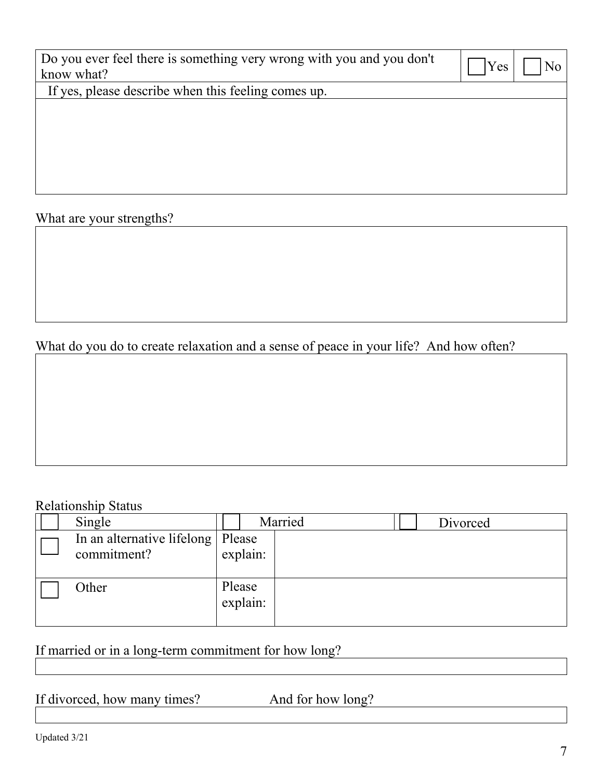| Do you ever feel there is something very wrong with you and you don't<br>know what? | Yes<br>No. |
|-------------------------------------------------------------------------------------|------------|
| If yes, please describe when this feeling comes up.                                 |            |
|                                                                                     |            |
|                                                                                     |            |
|                                                                                     |            |
|                                                                                     |            |
|                                                                                     |            |
|                                                                                     |            |

What are your strengths?

#### What do you do to create relaxation and a sense of peace in your life? And how often?

#### Relationship Status

| Single                                             |                    | Married | Divorced |
|----------------------------------------------------|--------------------|---------|----------|
| In an alternative lifelong   Please<br>commitment? | explain:           |         |          |
| Other                                              | Please<br>explain: |         |          |

### If married or in a long-term commitment for how long?

If divorced, how many times? And for how long?